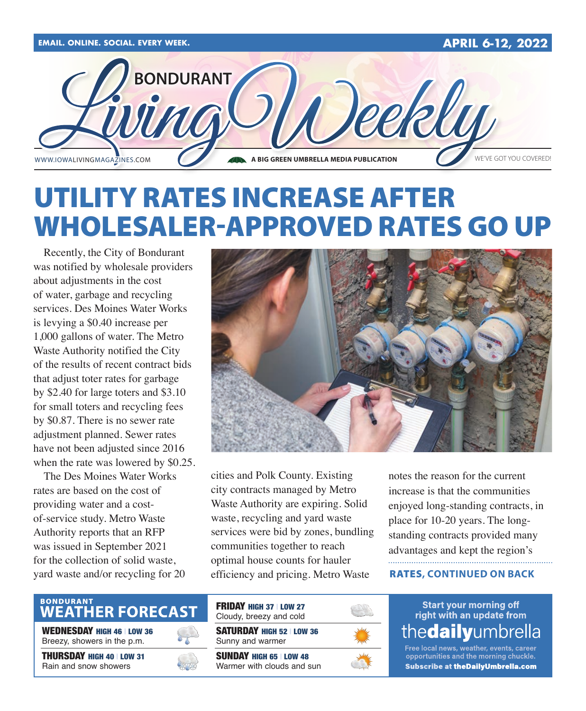

# UTILITY RATES INCREASE AFTER WHOLESALER-APPROVED RATES GO UP

Recently, the City of Bondurant was notified by wholesale providers about adjustments in the cost of water, garbage and recycling services. Des Moines Water Works is levying a \$0.40 increase per 1,000 gallons of water. The Metro Waste Authority notified the City of the results of recent contract bids that adjust toter rates for garbage by \$2.40 for large toters and \$3.10 for small toters and recycling fees by \$0.87. There is no sewer rate adjustment planned. Sewer rates have not been adjusted since 2016 when the rate was lowered by \$0.25.

The Des Moines Water Works rates are based on the cost of providing water and a costof-service study. Metro Waste Authority reports that an RFP was issued in September 2021 for the collection of solid waste, yard waste and/or recycling for 20



cities and Polk County. Existing city contracts managed by Metro Waste Authority are expiring. Solid waste, recycling and yard waste services were bid by zones, bundling communities together to reach optimal house counts for hauler efficiency and pricing. Metro Waste

notes the reason for the current increase is that the communities enjoyed long-standing contracts, in place for 10-20 years. The longstanding contracts provided many advantages and kept the region's

#### RATES**, CONTINUED ON BACK**

# BONDURANT<br>WEATHER FORECAST

WEDNESDAY HIGH 46 | LOW 36 Breezy, showers in the p.m.

THURSDAY HIGH 40 | LOW 31 Rain and snow showers



SATURDAY HIGH 52 | LOW 36 Sunny and warmer SUNDAY HIGH 65 | LOW 48 Warmer with clouds and sun FRIDAY HIGH 37 | LOW 27 Cloudy, breezy and cold



**Start your morning off** right with an update from thedailyumbrella

Free local news, weather, events, career opportunities and the morning chuckle. **Subscribe at theDailyUmbrella.com**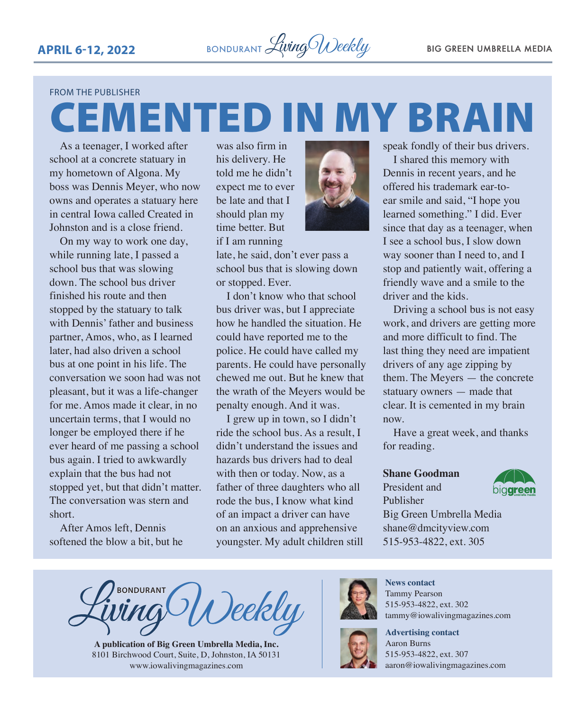#### FROM THE PUBLISHER

As a teenager, I worked after school at a concrete statuary in my hometown of Algona. My boss was Dennis Meyer, who now owns and operates a statuary here in central Iowa called Created in Johnston and is a close friend. CEMENTED IN MY BRAIN

On my way to work one day, while running late, I passed a school bus that was slowing down. The school bus driver finished his route and then stopped by the statuary to talk with Dennis' father and business partner, Amos, who, as I learned later, had also driven a school bus at one point in his life. The conversation we soon had was not pleasant, but it was a life-changer for me. Amos made it clear, in no uncertain terms, that I would no longer be employed there if he ever heard of me passing a school bus again. I tried to awkwardly explain that the bus had not stopped yet, but that didn't matter. The conversation was stern and short.

After Amos left, Dennis softened the blow a bit, but he

was also firm in his delivery. He told me he didn't expect me to ever be late and that I should plan my time better. But



late, he said, don't ever pass a school bus that is slowing down or stopped. Ever.

I don't know who that school bus driver was, but I appreciate how he handled the situation. He could have reported me to the police. He could have called my parents. He could have personally chewed me out. But he knew that the wrath of the Meyers would be penalty enough. And it was.

I grew up in town, so I didn't ride the school bus. As a result, I didn't understand the issues and hazards bus drivers had to deal with then or today. Now, as a father of three daughters who all rode the bus, I know what kind of an impact a driver can have on an anxious and apprehensive youngster. My adult children still



Dennis in recent years, and he offered his trademark ear-toear smile and said, "I hope you learned something." I did. Ever since that day as a teenager, when I see a school bus, I slow down way sooner than I need to, and I stop and patiently wait, offering a friendly wave and a smile to the driver and the kids.

Driving a school bus is not easy work, and drivers are getting more and more difficult to find. The last thing they need are impatient drivers of any age zipping by them. The Meyers — the concrete statuary owners — made that clear. It is cemented in my brain now.

Have a great week, and thanks for reading.

#### **Shane Goodman**

President and Publisher



Big Green Umbrella Media shane@dmcityview.com 515-953-4822, ext. 305

**BONDURANT** ()eekly

**A publication of Big Green Umbrella Media, Inc.** 8101 Birchwood Court, Suite, D, Johnston, IA 50131 www.iowalivingmagazines.com



**News contact** Tammy Pearson 515-953-4822, ext. 302 tammy@iowalivingmagazines.com



**Advertising contact** Aaron Burns 515-953-4822, ext. 307 [aaron@iowalivingmagazines.com](mailto:aaron@iowalivingmagazines.com)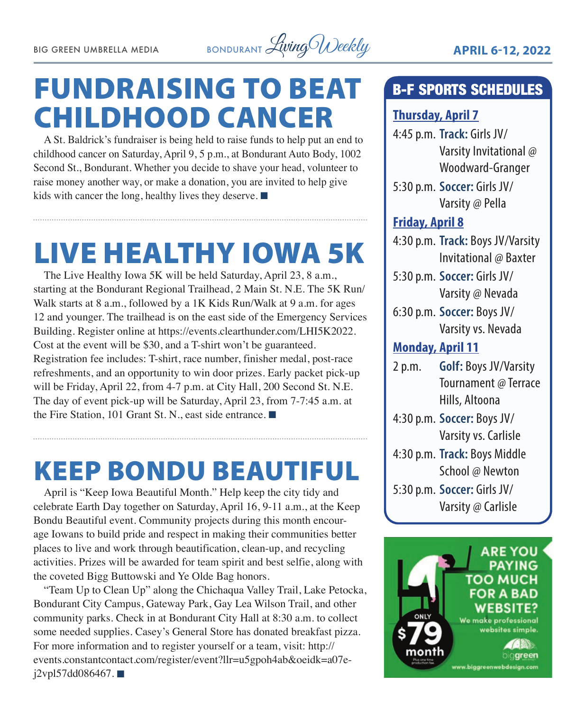

# FUNDRAISING TO BEAT CHILDHOOD CANCER

A St. Baldrick's fundraiser is being held to raise funds to help put an end to childhood cancer on Saturday, April 9, 5 p.m., at Bondurant Auto Body, 1002 Second St., Bondurant. Whether you decide to shave your head, volunteer to raise money another way, or make a donation, you are invited to help give kids with cancer the long, healthy lives they deserve.  $\blacksquare$ 

# LIVE HEALTHY IOWA 5K

The Live Healthy Iowa 5K will be held Saturday, April 23, 8 a.m., starting at the Bondurant Regional Trailhead, 2 Main St. N.E. The 5K Run/ Walk starts at 8 a.m., followed by a 1K Kids Run/Walk at 9 a.m. for ages 12 and younger. The trailhead is on the east side of the Emergency Services Building. Register online at [https://events.clearthunder.com/LHI5K2022.](https://events.clearthunder.com/LHI5K2022) Cost at the event will be \$30, and a T-shirt won't be guaranteed. Registration fee includes: T-shirt, race number, finisher medal, post-race refreshments, and an opportunity to win door prizes. Early packet pick-up will be Friday, April 22, from 4-7 p.m. at City Hall, 200 Second St. N.E. The day of event pick-up will be Saturday, April 23, from 7-7:45 a.m. at the Fire Station, 101 Grant St. N., east side entrance.  $\blacksquare$ 

# KEEP BONDU BEAUTIFUL

April is "Keep Iowa Beautiful Month." Help keep the city tidy and celebrate Earth Day together on Saturday, April 16, 9-11 a.m., at the Keep Bondu Beautiful event. Community projects during this month encourage Iowans to build pride and respect in making their communities better places to live and work through beautification, clean-up, and recycling activities. Prizes will be awarded for team spirit and best selfie, along with the coveted Bigg Buttowski and Ye Olde Bag honors.

"Team Up to Clean Up" along the Chichaqua Valley Trail, Lake Petocka, Bondurant City Campus, Gateway Park, Gay Lea Wilson Trail, and other community parks. Check in at Bondurant City Hall at 8:30 a.m. to collect some needed supplies. Casey's General Store has donated breakfast pizza. For more information and to register yourself or a team, visit: [http://](http://events.constantcontact.com/register/event?llr=u5gpoh4ab&oeidk=a07ej2vpl57dd086467) [events.constantcontact.com/register/event?llr=u5gpoh4ab&oeidk=a07e](http://events.constantcontact.com/register/event?llr=u5gpoh4ab&oeidk=a07ej2vpl57dd086467) $j2vpl57dd086467.$ 

# B-F SPORTS SCHEDULES

## **Thursday, April 7**

- 4:45 p.m. **Track:** Girls JV/ Varsity Invitational @ Woodward-Granger
- 5:30 p.m. **Soccer:** Girls JV/ Varsity @ Pella

## **Friday, April 8**

- 4:30 p.m. **Track:** Boys JV/Varsity Invitational @ Baxter
- 5:30 p.m. **Soccer:** Girls JV/ Varsity @ Nevada
- 6:30 p.m. **Soccer:** Boys JV/ Varsity vs. Nevada

## **Monday, April 11**

- 2 p.m. **Golf:** Boys JV/Varsity Tournament @ Terrace Hills, Altoona
- 4:30 p.m. **Soccer:** Boys JV/ Varsity vs. Carlisle
- 4:30 p.m. **Track:** Boys Middle School @ Newton
- 5:30 p.m. **Soccer:** Girls JV/ Varsity @ Carlisle

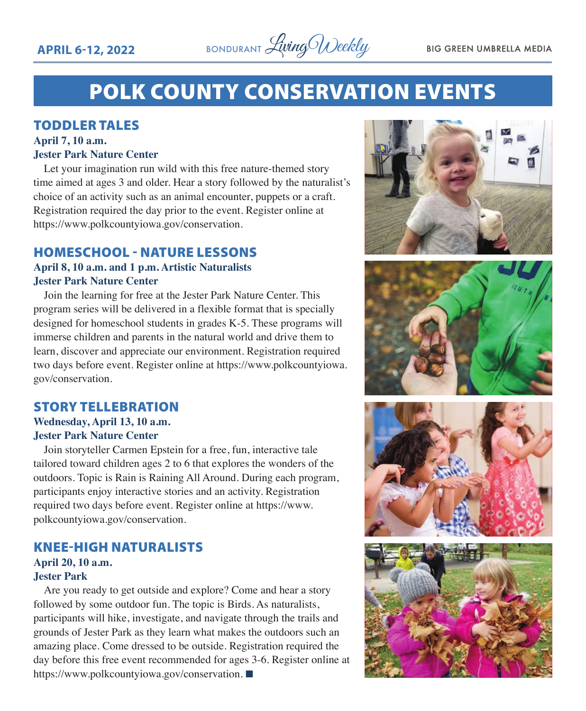

# POLK COUNTY CONSERVATION EVENTS

### TODDLER TALES

#### **April 7, 10 a.m. Jester Park Nature Center**

Let your imagination run wild with this free nature-themed story time aimed at ages 3 and older. Hear a story followed by the naturalist's choice of an activity such as an animal encounter, puppets or a craft. Registration required the day prior to the event. Register online at https://www.polkcountyiowa.gov/conservation.

## HOMESCHOOL - NATURE LESSONS

### **April 8, 10 a.m. and 1 p.m. Artistic Naturalists Jester Park Nature Center**

Join the learning for free at the Jester Park Nature Center. This program series will be delivered in a flexible format that is specially designed for homeschool students in grades K-5. These programs will immerse children and parents in the natural world and drive them to learn, discover and appreciate our environment. Registration required two days before event. Register online at https://www.polkcountyiowa. gov/conservation.

## STORY TELLEBRATION

#### **Wednesday, April 13, 10 a.m. Jester Park Nature Center**

Join storyteller Carmen Epstein for a free, fun, interactive tale tailored toward children ages 2 to 6 that explores the wonders of the outdoors. Topic is Rain is Raining All Around. During each program, participants enjoy interactive stories and an activity. Registration required two days before event. Register online at https://www. polkcountyiowa.gov/conservation.

### KNEE-HIGH NATURALISTS **April 20, 10 a.m.**

#### **Jester Park**

Are you ready to get outside and explore? Come and hear a story followed by some outdoor fun. The topic is Birds. As naturalists, participants will hike, investigate, and navigate through the trails and grounds of Jester Park as they learn what makes the outdoors such an amazing place. Come dressed to be outside. Registration required the day before this free event recommended for ages 3-6. Register online at https://www.polkcountyiowa.gov/conservation.







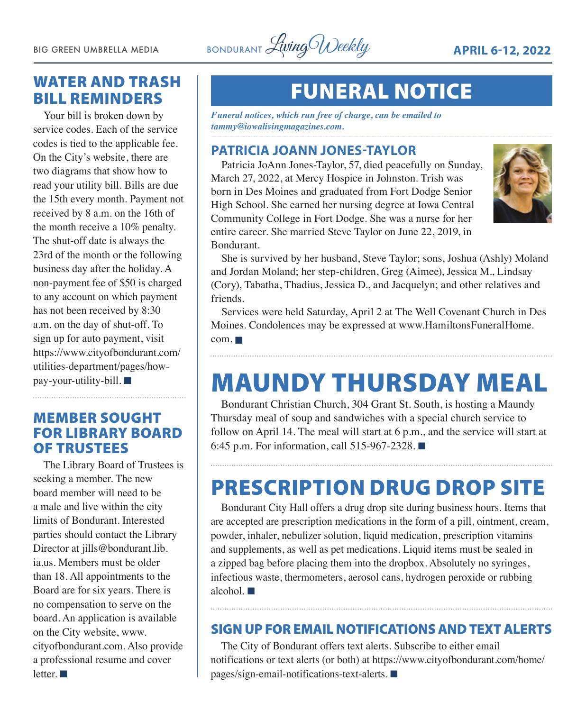

# WATER AND TRASH BILL REMINDERS

Your bill is broken down by service codes. Each of the service codes is tied to the applicable fee. On the City's website, there are two diagrams that show how to read your utility bill. Bills are due the 15th every month. Payment not received by 8 a.m. on the 16th of the month receive a 10% penalty. The shut-off date is always the 23rd of the month or the following business day after the holiday. A non-payment fee of \$50 is charged to any account on which payment has not been received by 8:30 a.m. on the day of shut-off. To sign up for auto payment, visit [https://www.cityofbondurant.com/](https://www.cityofbondurant.com/utilities-department/pages/how-pay-your-utility-bill) [utilities-department/pages/how](https://www.cityofbondurant.com/utilities-department/pages/how-pay-your-utility-bill) $pay$ -your-utility-bill.

## MEMBER SOUGHT FOR LIBRARY BOARD OF TRUSTEES

The Library Board of Trustees is seeking a member. The new board member will need to be a male and live within the city limits of Bondurant. Interested parties should contact the Library Director at [jills@bondurant.lib.](mailto:jills@bondurant.lib.ia.us) [ia.us.](mailto:jills@bondurant.lib.ia.us) Members must be older than 18. All appointments to the Board are for six years. There is no compensation to serve on the board. An application is available on the City website, [www.](http://www.cityofbondurant.com) [cityofbondurant.com.](http://www.cityofbondurant.com) Also provide a professional resume and cover letter.  $\blacksquare$ 

# FUNERAL NOTICE

*Funeral notices, which run free of charge, can be emailed to tammy@iowalivingmagazines.com.*

## **PATRICIA JOANN JONES-TAYLOR**

Patricia JoAnn Jones-Taylor, 57, died peacefully on Sunday, March 27, 2022, at Mercy Hospice in Johnston. Trish was born in Des Moines and graduated from Fort Dodge Senior High School. She earned her nursing degree at Iowa Central Community College in Fort Dodge. She was a nurse for her entire career. She married Steve Taylor on June 22, 2019, in Bondurant.



She is survived by her husband, Steve Taylor; sons, Joshua (Ashly) Moland and Jordan Moland; her step-children, Greg (Aimee), Jessica M., Lindsay (Cory), Tabatha, Thadius, Jessica D., and Jacquelyn; and other relatives and friends.

Services were held Saturday, April 2 at The Well Covenant Church in Des Moines. Condolences may be expressed at [www.HamiltonsFuneralHome.](http://www.HamiltonsFuneralHome.com)  $com. \blacksquare$  $com. \blacksquare$ 

# MAUNDY THURSDAY MEAL

Bondurant Christian Church, 304 Grant St. South, is hosting a Maundy Thursday meal of soup and sandwiches with a special church service to follow on April 14. The meal will start at 6 p.m., and the service will start at 6:45 p.m. For information, call 515-967-2328.  $\blacksquare$ 

# PRESCRIPTION DRUG DROP SITE

Bondurant City Hall offers a drug drop site during business hours. Items that are accepted are prescription medications in the form of a pill, ointment, cream, powder, inhaler, nebulizer solution, liquid medication, prescription vitamins and supplements, as well as pet medications. Liquid items must be sealed in a zipped bag before placing them into the dropbox. Absolutely no syringes, infectious waste, thermometers, aerosol cans, hydrogen peroxide or rubbing alcohol.  $\blacksquare$ 

## SIGN UP FOR EMAIL NOTIFICATIONS AND TEXT ALERTS

The City of Bondurant offers text alerts. Subscribe to either email notifications or text alerts (or both) at [https://www.cityofbondurant.com/home/](https://www.cityofbondurant.com/home/pages/sign-email-notifications-text-alerts)  $pages/sign-email-notifications-text-alerts.$  $pages/sign-email-notifications-text-alerts.$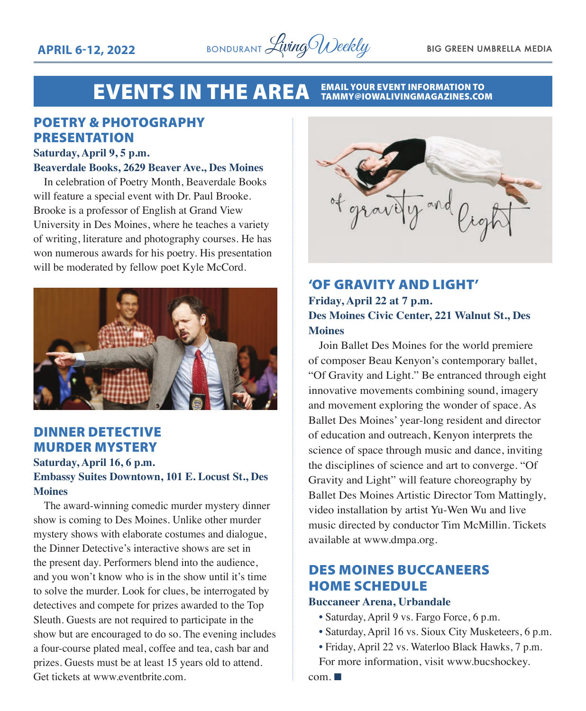

#### **EVENTS IN THE AREA EMAIL YOUR EVENT INFORMATION TO<br>TAMMY@IOWALIVINGMAGAZINES.COM**

## POETRY & PHOTOGRAPHY PRESENTATION

#### **Saturday, April 9, 5 p.m.**

#### **Beaverdale Books, 2629 Beaver Ave., Des Moines**

In celebration of Poetry Month, Beaverdale Books will feature a special event with Dr. Paul Brooke. Brooke is a professor of English at Grand View University in Des Moines, where he teaches a variety of writing, literature and photography courses. He has won numerous awards for his poetry. His presentation will be moderated by fellow poet Kyle McCord.



### DINNER DETECTIVE MURDER MYSTERY

**Saturday, April 16, 6 p.m.**

### **Embassy Suites Downtown, 101 E. Locust St., Des Moines**

The award-winning comedic murder mystery dinner show is coming to Des Moines. Unlike other murder mystery shows with elaborate costumes and dialogue, the Dinner Detective's interactive shows are set in the present day. Performers blend into the audience, and you won't know who is in the show until it's time to solve the murder. Look for clues, be interrogated by detectives and compete for prizes awarded to the Top Sleuth. Guests are not required to participate in the show but are encouraged to do so. The evening includes a four-course plated meal, coffee and tea, cash bar and prizes. Guests must be at least 15 years old to attend. Get tickets at [www.eventbrite.com.](http://www.eventbrite.com)



### 'OF GRAVITY AND LIGHT' **Friday, April 22 at 7 p.m. Des Moines Civic Center, 221 Walnut St., Des Moines**

Join Ballet Des Moines for the world premiere of composer Beau Kenyon's contemporary ballet, "Of Gravity and Light." Be entranced through eight innovative movements combining sound, imagery and movement exploring the wonder of space. As Ballet Des Moines' year-long resident and director of education and outreach, Kenyon interprets the science of space through music and dance, inviting the disciplines of science and art to converge. "Of Gravity and Light" will feature choreography by Ballet Des Moines Artistic Director Tom Mattingly, video installation by artist Yu-Wen Wu and live music directed by conductor Tim McMillin. Tickets available at [www.dmpa.org.](http://www.dmpa.org)

# DES MOINES BUCCANEERS HOME SCHEDULE

#### **Buccaneer Arena, Urbandale**

- Saturday, April 9 vs. Fargo Force, 6 p.m.
- Saturday, April 16 vs. Sioux City Musketeers, 6 p.m.
- Friday, April 22 vs. Waterloo Black Hawks, 7 p.m. For more information, visit [www.bucshockey.](http://www.bucshockey.com)

 $com. \blacksquare$  $com. \blacksquare$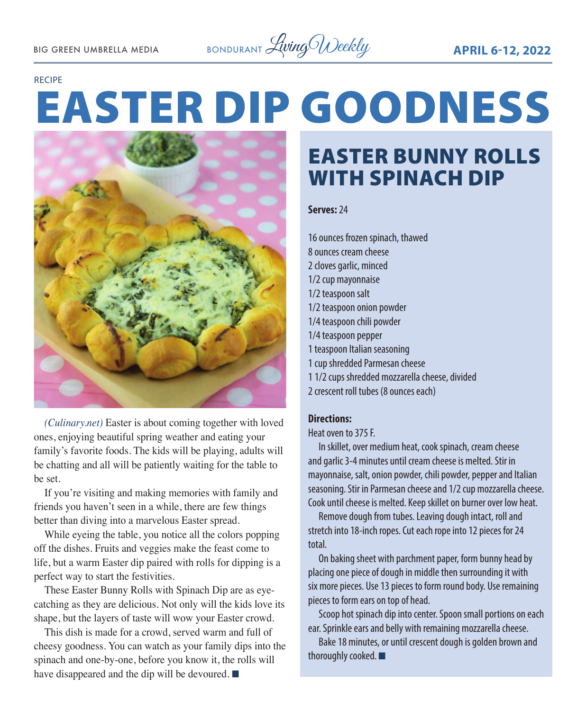#### RECIPE

# EASTER DIP GOODNESS



*(Culinary.net)* Easter is about coming together with loved ones, enjoying beautiful spring weather and eating your family's favorite foods. The kids will be playing, adults will be chatting and all will be patiently waiting for the table to be set.

If you're visiting and making memories with family and friends you haven't seen in a while, there are few things better than diving into a marvelous Easter spread.

While eyeing the table, you notice all the colors popping off the dishes. Fruits and veggies make the feast come to life, but a warm Easter dip paired with rolls for dipping is a perfect way to start the festivities.

These Easter Bunny Rolls with Spinach Dip are as eyecatching as they are delicious. Not only will the kids love its shape, but the layers of taste will wow your Easter crowd.

This dish is made for a crowd, served warm and full of cheesy goodness. You can watch as your family dips into the spinach and one-by-one, before you know it, the rolls will have disappeared and the dip will be devoured.  $\blacksquare$ 

# EASTER BUNNY ROLLS WITH SPINACH DIP

#### **Serves:** 24

16 ounces frozen spinach, thawed 8 ounces cream cheese 2 cloves garlic, minced 1/2 cup mayonnaise 1/2 teaspoon salt 1/2 teaspoon onion powder 1/4 teaspoon chili powder 1/4 teaspoon pepper 1 teaspoon Italian seasoning 1 cup shredded Parmesan cheese 1 1/2 cups shredded mozzarella cheese, divided

2 crescent roll tubes (8 ounces each)

#### **Directions:**

Heat oven to 375 F.

In skillet, over medium heat, cook spinach, cream cheese and garlic 3-4 minutes until cream cheese is melted. Stir in mayonnaise, salt, onion powder, chili powder, pepper and Italian seasoning. Stir in Parmesan cheese and 1/2 cup mozzarella cheese. Cook until cheese is melted. Keep skillet on burner over low heat.

Remove dough from tubes. Leaving dough intact, roll and stretch into 18-inch ropes. Cut each rope into 12 pieces for 24 total.

On baking sheet with parchment paper, form bunny head by placing one piece of dough in middle then surrounding it with six more pieces. Use 13 pieces to form round body. Use remaining pieces to form ears on top of head.

Scoop hot spinach dip into center. Spoon small portions on each ear. Sprinkle ears and belly with remaining mozzarella cheese.

Bake 18 minutes, or until crescent dough is golden brown and thoroughly cooked.  $\blacksquare$